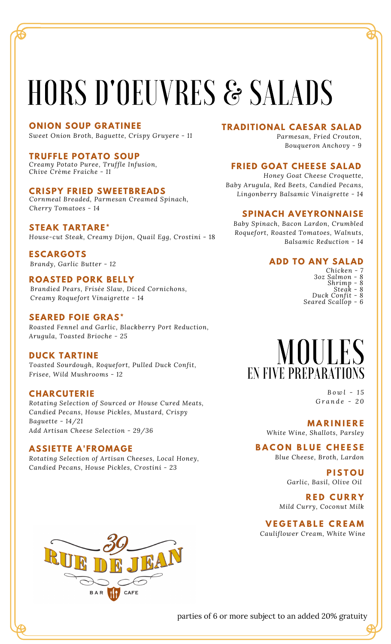# HORS D'OEUVRES & SALADS

### **ONION SOUP GRATINEE**

*Sweet Onion Broth, Baguette, Crispy Gruyere - 11*

# **TRUFFLE POTATO SOUP**

*Creamy Potato Puree, Truffle Infusion, Chive Crème Fraiche - 11*

# **CRISPY FRIED SWEETBREADS**

*Cornmeal Breaded, Parmesan Creamed Spinach, Cherry Tomatoes - 14*

### **STEAK TARTARE\***

*House-cut Steak, Creamy Dijon, Quail Egg, Crostini* - 18

**ESCARGOTS** *Brandy, Garlic Butter - 12*

# **ROASTED PORK BELLY**

*Brandied Pears, Frisée Slaw, Diced Cornichons, Creamy Roquefort Vinaigrette - 14*

# **SEARED FOIE GRAS\***

*Roasted Fennel and Garlic, Blackberry Port Reduction, Arugula, Toasted Brioche - 25*

# **DUCK TARTINE**

*Toasted Sourdough, Roquefort, Pulled Duck Confit, Frisee, Wild Mushrooms - 12*

#### **CHARCUTERIE**

*Rotating Selection of Sourced or House Cured Meats, Candied Pecans, House Pickles, Mustard, Crispy Baguette - 14/21 Add Artisan Cheese Selection - 29/36*

# **ASSIETTE A'FROMAGE**

*Rotating Selection of Artisan Cheeses, Local Honey, Candied Pecans, House Pickles, Crostini - 23*

# **TRADITIONAL CAESAR SALAD**

*Parmesan, Fried Crouton, Bouqueron Anchovy - 9*

# **FRIED GOAT CHEESE SALAD**

*Honey Goat Cheese Croquette, Baby Arugula, Red Beets, Candied Pecans, Lingonberry Balsamic Vinaigrette - 14*

#### **SPINACH AVEYRONNAISE**

*Baby Spinach, Bacon Lardon, Crumbled Roquefort, Roasted Tomatoes, Walnuts, Balsamic Reduction - 14*

# **ADD TO ANY SALAD**

- *Chicken - 7*
- *3oz Salmon - 8 Shrimp - 8*
	- $Steak$

*Duck Confit - 8 Seared Scallop - 6*

# **MOULES** EN FIVE PREPARATIONS

*B o w l - 1 5 G r a n d e - 2 0*

#### **M A R I N I E R E**

*White Wine, Shallots, Parsley*

# **B A C O N B L U E C H E E S E**

*Blue Cheese, Broth, Lardon*

#### **P I S T O U** *Garlic, Basil, Olive Oil*

**R E D C U R R Y** *Mild Curry, Coconut Milk*

# **V E G E T A B L E C R E A M**

*Cauliflower Cream, White Wine*



parties of 6 or more subject to an added 20% gratuity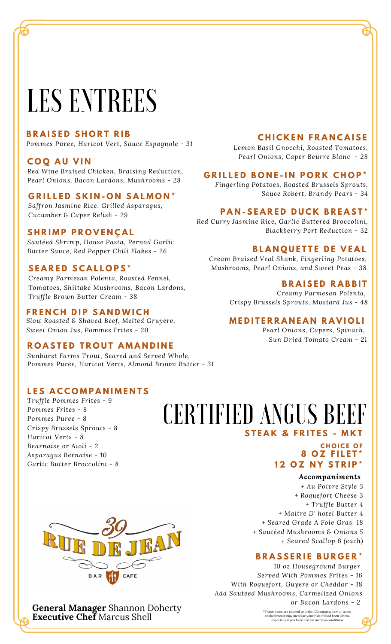# LES ENTREES

### **B R A I S E D S H O R T R I B**

*Pommes Puree, Haricot Vert, Sauce Espagnole - 31*

### **C O Q A U V I N**

*Red Wine Braised Chicken, Braising Reduction, Pearl Onions, Bacon Lardons, Mushrooms - 28*

#### **G R I L L E D S K I N - O N S A L M O N \***

*Saffron Jasmine Rice, Grilled Asparagus, Cucumber & Caper Relish - 29*

#### **S H R I M P P R O V E N Ç A L**

*Sautéed Shrimp, House Pasta, Pernod Garlic* Butter Sauce, Red Pepper Chili Flakes - 26 **BLANQUETTE DE VEAL** 

### **S E A R E D S C A L L O P S \***

*Creamy Parmesan Polenta, Roasted Fennel, Tomatoes, Shiitake Mushrooms, Bacon Lardons, Truffle Brown Butter Cream - 38*

### $F$ **RENCH DIP SANDWICH**

*Slow Roasted & Shaved Beef, Melted Gruyere, Sweet Onion Jus, Pommes Frites - 20*

#### **ROASTED TROUT AMANDINE**

*Sunburst Farms Trout, Seared and Served Whole, Pommes Purée, Haricot Verts, Almond Brown Butter - 31*

# **L E S A C C O M P A N I M E N T S**

*Truffle Pommes Frites - 9 Pommes Frites - 8 Pommes Puree - 8 Crispy Brussels Sprouts - 8 Haricot Verts - 8 Bearnaise or Aioli - 2 Asparagus Bernaise - 10 Garlic Butter Broccolini - 8*

# **S T E A K & F R I T E S - M K T** CERTIFIED ANGUS BEEF

# **C H O I C E O F 8 O Z F I L E T \* 1 2 O Z N Y S T R I P \***

#### *Accompaniments*

*+ Au Poivre Style 3 + Roquefort Cheese 3 + Truffle Butter 4 + Maitre D' hotel Butter 4 + Seared Grade A Foie Gras 18 + Sautéed Mushrooms & Onions 5 + Seared Scallop 6 (each)*

#### **B R A S S E R I E B U R G E R \***

*Served With Pommes Frites - 16 With Roquefort, Guyere or Cheddar - 18 Add Sauteed Mushrooms, Carmelized Onions or Bacon Lardons - 2*

**General Manager** Shannon Doherty **Executive Chef** Marcus Shell

#### **C H I C K E N F R A N C A I S E**

*Lemon Basil Gnocchi, Roasted Tomatoes, Pearl Onions, Caper Beurre Blanc - 28*

# **G R I L L E D B O N E - I N P O R K C H O P \***

*Fingerling Potatoes, Roasted Brussels Sprouts, Sauce Robert, Brandy Pears - 34*

# **PAN-SEARED DUCK BREAST\***

*Red Curry Jasmine Rice, Garlic Buttered Broccolini, Blackberry Port Reduction* - 32

*Cream Braised Veal Shank, Fingerling Potatoes, Mushrooms, Pearl Onions, and Sweet Peas - 38*

#### **B R A I S E D R A B B I T**

*Creamy Parmesan Polenta, Crispy Brussels Sprouts, Mustard Jus - 48*

#### **M E D I T E R R A N E A N R A V I O L I**

*Pearl Onions, Capers, Spinach, Sun Dried Tomato Cream - 21*



# *10 oz Houseground Burger*

\*These items are cooked to order. Consuming raw or under cooked meats may increase your risk of food born illness, especially ifyou have certain medical conditions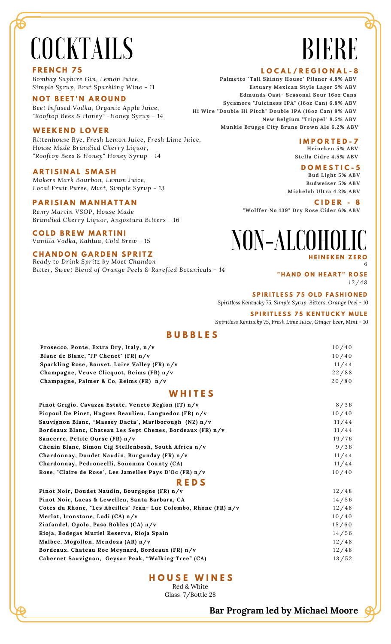# COCKTAILS

#### **F R E N C H 7 5**

*Bombay Saphire Gin, Lemon Juice, Simple Syrup, Brut Sparkling Wine - 11*

#### **N O T B E E T ' N A R O U N D**

*Beet Infused Vodka, Organic Apple Juice, "Rooftop Bees & Honey" -Honey Syrup - 14*

#### **W E E K E N D L O V E R**

*Rittenhouse Rye, Fresh Lemon Juice, Fresh Lime Juice, House Made Brandied Cherry Liquor, "Rooftop Bees & Honey" Honey Syrup - 14*

#### **A R T I S I N A L S M A S H**

*Makers Mark Bourbon, Lemon Juice, Local Fruit Puree, Mint, Simple Syrup - 13*

#### **PARISIAN MANHATTAN**

*Remy Martin VSOP, House Made Brandied Cherry Liquor, Angostura Bitters - 16*

#### $C$  **OLD BREW MARTINI**

*Vanilla Vodka, Kahlua, Cold Brew - 15*

#### $CHANDON GARDEN SPRITZ$

*Ready to Drink Spritz by Moet Chandon* B*itter, Sweet Blend of Orange Peels & Rarefied Botanicals - 14*

# BIERE BIERE

#### **L O C A L / R E G I O N A L - 8**

**Palmetto "Tall Skinny House" Pilsner 4.8% ABV Edmunds Oast- Seasonal Sour 16oz Cans Estuary Mexican Style Lager 5% ABV Sycamore "Juiciness IPA" (16oz Can) 6.8% ABV Edmunds Oast- Seasonal Sour 16oz Cans Hi Wire "Double Hi Pitch" Double IPA (16oz Can) 9% ABV Sycamore "Juiciness IPA" (16oz Can) 6.8% ABV New Belgium "Trippel" 8.5% ABV** Munkle Brugge City Brune Brown Ale 6.2% ABV **L O C A L / R E G I O N A L Palmetto "Tall Skinny House" Pilsner 4.8% ABV Estuary Mexican Style Lager 5% ABV**

#### **New Belgium "Trippel" 8.5% ABV I M P O R T E D - 7**

**Munkle Brugge City Brune Brown Ale 6.2% ABV Heineken 5% ABV Stella Cidre 4.5% ABV**

# **D O M E S T I C** - 5

7 **Bud Light 5% ABV Heineken 5% ABV Budweiser 5% ABV Stella Cidre 4.5% Michelob Ultra 4.2% ABV**

**D O M E S T I C "Wolffer No 139" Dry Rose Cider 6% ABV C I D E R - 8**

# **Bud Light 5% ABV Budweiser 5% ABV**  $NON-ALCOHOLIC$

**H E I N E K E N Z E R O**

*6*

#### **" H A N D O N H E A R T " R O S E** *1 2 / 4 8*

**S P I R I T L E S S 7 5 O L D F A S H I O N E D**

*Spiritless Kentucky 75, Simple Syrup, Bitters, Orange Peel - 10*

#### **S P I R I T L E S S 7 5 K E N T U C K Y M U L E**

*Spiritless Kentucky 75, Fresh Lime Juice, Ginger beer, Mint - 10*

### **B U B B L E S**

| Prosecco, Ponte, Extra Dry, Italy, n/v        | 10/40 |
|-----------------------------------------------|-------|
| Blanc de Blanc, "JP Chenet" (FR) n/v          | 10/40 |
| Sparkling Rose, Bouvet, Loire Valley (FR) n/v | 11/44 |
| Champagne, Veuve Clicquot, Reims (FR) n/v     | 22/88 |
| Champagne, Palmer & Co, Reims (FR) n/v        | 20/80 |

#### **W H I T E S**

| Pinot Grigio, Cavazza Estate, Veneto Region (IT) n/v             | 8/36  |
|------------------------------------------------------------------|-------|
| Picpoul De Pinet, Hugues Beaulieu, Languedoc (FR) n/v            | 10/40 |
| Sauvignon Blanc, "Massey Dacta", Marlborough (NZ) n/v            | 11/44 |
| Bordeaux Blanc, Chateau Les Sept Chenes, Bordeaux (FR) n/v       | 11/44 |
| Sancerre, Petite Ourse (FR) n/v                                  | 19/76 |
| Chenin Blanc, Simon Cig Stellenbosh, South Africa n/v            | 9/36  |
| Chardonnay, Doudet Naudin, Burgunday (FR) n/v                    | 11/44 |
| Chardonnay, Pedroncelli, Sononma County (CA)                     | 11/44 |
| Rose, "Claire de Rose", Les Jamelles Pays D'Oc (FR) n/v          | 10/40 |
| <b>REDS</b>                                                      |       |
| Pinot Noir, Doudet Naudin, Bourgogne (FR) n/v                    | 12/48 |
| Pinot Noir, Lucas & Lewellen, Santa Barbara, CA                  | 14/56 |
| Cotes du Rhone, "Les Abeilles" Jean- Luc Colombo, Rhone (FR) n/v | 12/48 |
| Merlot, Ironstone, Lodi (CA) n/v                                 | 10/40 |
| Zinfandel, Opolo, Paso Robles (CA) n/v                           | 15/60 |
| Rioja, Bodegas Muriel Reserva, Rioja Spain                       | 14/56 |
| Malbec, Mogollon, Mendoza (AR) n/v                               | 12/48 |
| Bordeaux, Chateau Roc Meynard, Bordeaux (FR) n/v                 | 12/48 |
| Cabernet Sauvignon, Geysar Peak, "Walking Tree" (CA)             | 13/52 |

**H O U S E W I N E S** Red & White

Glass 7/Bottle 28

**Bar Program led by Michael Moore**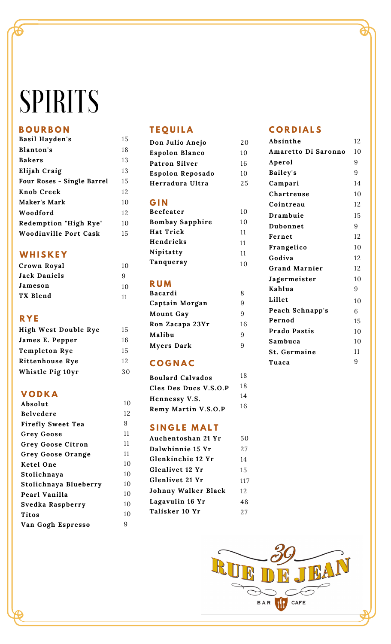# SPIRITS

# **B O U R B O N**

| Basil Hayden's             | 15 |
|----------------------------|----|
| Blanton's                  | 18 |
| <b>Bakers</b>              | 13 |
| Elijah Craig               | 13 |
| Four Roses - Single Barrel | 15 |
| Knob Creek                 | 12 |
| Maker's Mark               | 10 |
| Woodford                   | 12 |
| Redemption "High Rye"      | 10 |
| Woodinville Port Cask      | 15 |

# **W H I S K E Y**

| Crown Royal  | 10 |
|--------------|----|
| Jack Daniels | 9  |
| Jameson      | 10 |
| TX Blend     | 11 |

# **R Y E**

| High West Double Rye   |
|------------------------|
| James E. Pepper        |
| <b>Templeton Rye</b>   |
| <b>Rittenhouse Rye</b> |
| Whistle Pig 10yr       |

# **V O D K A**

| Absolut                  |
|--------------------------|
| Belvedere                |
| <b>Firefly Sweet Tea</b> |
| <b>Grey Goose</b>        |
| Grey Goose Citron        |
| Grey Goose Orange        |
| Ketel One                |
| Stolichnaya              |
| Stolichnaya Blueberry    |
| Pearl Vanilla            |
| Svedka Raspberry         |
| Titos                    |
| Van Gogh Espresso        |
|                          |

# **T E Q U I L A**

| Don Julio Anejo  |
|------------------|
| Espolon Blanco   |
| Patron Silver    |
| Espolon Reposado |
| Herradura Ultra  |
|                  |

### **G I N**

| <b>Beefeater</b>       | 10 |
|------------------------|----|
| <b>Bombay Sapphire</b> | 10 |
| Hat Trick              | 11 |
| Hendricks              | 11 |
| Nipitatty              | 11 |
| Tanqueray              | 10 |

# **R U M**

1 0 1

281111111010101010109

| x  |
|----|
| 9  |
| 9  |
| 16 |
| g  |
| ч  |
|    |

# **C O G N A C**

| <b>Boulard Calvados</b> | 18 |
|-------------------------|----|
| Cles Des Ducs V.S.O.P   | 18 |
| Hennessy V.S.           | 14 |
| Remy Martin V.S.O.P     | 16 |

# **S I N G L E M A L T**

| Auchentoshan 21 Yr  | 50  |
|---------------------|-----|
| Dalwhinnie 15 Yr    | 27  |
| Glenkinchie 12 Yr   | 14  |
| Glenlivet 12 Yr     | 15  |
| Glenlivet 21 Yr     | 117 |
| Johnny Walker Black | 12  |
| Lagavulin 16 Yr     | 48  |
| Talisker 10 Yr      | 27  |
|                     |     |

# **C O R D I A L S**

| Absinthe             | 12             |
|----------------------|----------------|
| Amaretto Di Saronno  | 10             |
| Aperol               | 9              |
| Bailey's             | 9              |
| Campari              | 14             |
| Chartreuse           | 10             |
| Cointreau            | 12             |
| Drambuie             | 15             |
| Dubonnet             | 9              |
| Fernet               | 12             |
| Frangelico           | 10             |
| Godiva               | 12             |
| <b>Grand Marnier</b> | 12             |
| Jagermeister         | 10             |
| Kahlua               | 9              |
| Lillet               | 1 <sub>0</sub> |
| Peach Schnapp's      | 6              |
| Pernod               | 15             |
| <b>Prado Pastis</b>  | 10             |
| Sambuca              | 10             |
| St. Germaine         | 11             |
| Tuaca                | 9              |
|                      |                |

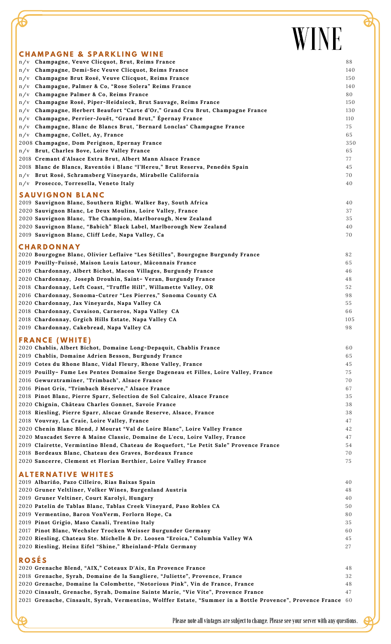# WINE

| <b>CHAMPAGNE &amp; SPARKLING WINE</b>                                                                         |     |
|---------------------------------------------------------------------------------------------------------------|-----|
| n/v Champagne, Veuve Clicquot, Brut, Reims France                                                             | 88  |
| Champagne, Demi-Sec Veuve Clicquot, Reims France<br>n/v                                                       | 140 |
| Champagne Brut Rosé, Veuve Clicquot, Reims France<br>n/v                                                      | 150 |
| Champagne, Palmer & Co, "Rose Solera" Reims France<br>n/v                                                     | 140 |
| Champagne Palmer & Co, Reims France<br>n/v                                                                    | 80  |
| Champagne Rosé, Piper-Heidsieck, Brut Sauvage, Reims France<br>n/v                                            | 150 |
| Champagne, Herbert Beaufort "Carte d'Or," Grand Cru Brut, Champagne France<br>n/v                             | 130 |
| Champagne, Perrier-Jouët, "Grand Brut," Épernay France<br>n/v                                                 | 110 |
| Champagne, Blanc de Blancs Brut, "Bernard Lonclas" Champagne France<br>n/v                                    | 75  |
|                                                                                                               | 65  |
| n/v Champagne, Collet, Ay, France                                                                             |     |
| 2008 Champagne, Dom Perignon, Epernay France                                                                  | 350 |
| n/v Brut, Charles Bove, Loire Valley France                                                                   | 65  |
| 2018 Cremant d'Alsace Extra Brut, Albert Mann Alsace France                                                   | 77  |
| 2018 Blanc de Blancs, Raventós i Blanc "l'Hereu," Brut Reserva, Penedès Spain                                 | 45  |
| n/v Brut Rosé, Schramsberg Vineyards, Mirabelle California                                                    | 70  |
| n/v Prosecco, Torresella, Veneto Italy                                                                        | 40  |
| <b>SAUVIGNON BLANC</b>                                                                                        |     |
|                                                                                                               |     |
| 2019 Sauvignon Blanc, Southern Right. Walker Bay, South Africa                                                | 40  |
| 2020 Sauvignon Blanc, Le Deux Moulins, Loire Valley, France                                                   | 37  |
| 2020 Sauvignon Blanc, The Champion, Marlborough, New Zealand                                                  | 35  |
| 2020 Sauvignon Blanc, "Babich" Black Label, Marlborough New Zealand                                           | 40  |
| 2019 Sauvignon Blanc, Cliff Lede, Napa Valley, Ca                                                             | 70  |
| <b>CHARDONNAY</b>                                                                                             |     |
| 2020 Bourgogne Blanc, Olivier Leflaive "Les Sétilles", Bourgogne Burgundy France                              | 82  |
| 2019 Pouilly-Fuissé, Maison Louis Latour, Mâconnais France                                                    | 65  |
| 2019 Chardonnay, Albert Bichot, Macon Villages, Burgundy France                                               | 46  |
|                                                                                                               |     |
| 2020 Chardonnay, Joseph Drouhin, Saint- Veran, Burgundy France                                                | 48  |
| 2018 Chardonnay, Left Coast, "Truffle Hill", Willamette Valley, OR                                            | 52  |
| 2016 Chardonnay, Sonoma-Cutrer "Les Pierres," Sonoma County CA                                                | 98  |
| 2020 Chardonnay, Jax Vineyards, Napa Valley CA                                                                | 55  |
| 2018 Chardonnay, Cuvaison, Carneros, Napa Valley CA                                                           | 66  |
| 2018 Chardonnay, Grgich Hills Estate, Napa Valley CA                                                          | 105 |
| 2019 Chardonnay, Cakebread, Napa Valley CA                                                                    | 98  |
| <b>FRANCE (WHITE)</b>                                                                                         |     |
|                                                                                                               |     |
| 2020 Chablis, Albert Bichot, Domaine Long-Depaquit, Chablis France                                            | 60  |
| 2019 Chablis, Domaine Adrien Besson, Burgundy France                                                          | 65  |
| 2019 Cotes du Rhone Blanc, Vidal Fleury, Rhone Valley, France                                                 | 45  |
| 2019 Pouilly- Fume Les Pentes Domaine Serge Dageneau et Filles, Loire Valley, France                          | 75  |
| 2016 Gewurztraminer, "Trimbach", Alsace France                                                                | 70  |
| 2016 Pinot Gris, "Trimbach Réserve," Alsace France                                                            | 67  |
| 2018 Pinot Blanc, Pierre Sparr, Selection de Sol Calcaire, Alsace France                                      | 35  |
| 2020 Chignin, Château Charles Gonnet, Savoie France                                                           | 38  |
| 2018 Riesling, Pierre Sparr, Alscae Grande Reserve, Alsace, France                                            | 38  |
| 2018 Vouvray, La Craie, Loire Valley, France                                                                  | 47  |
| 2020 Chenin Blanc Blend, J Mourat "Val de Loire Blanc", Loire Valley France                                   | 42  |
| 2020 Muscadet Sevre & Maine Classic, Domaine de L'ecu, Loire Valley, France                                   | 47  |
| 2019 Clairette, Vermintino Blend, Chateau de Roquefort, "Le Petit Sale" Provence France                       | 54  |
| 2018 Bordeaux Blanc, Chateau des Graves, Bordeaux France                                                      | 70  |
| 2020 Sancerre, Clement et Florian Berthier, Loire Valley France                                               | 75  |
|                                                                                                               |     |
| <b>ALTERNATIVE WHITES</b>                                                                                     |     |
| 2019 Albariño, Pazo Cilleiro, Rias Baixas Spain                                                               | 40  |
| 2020 Gruner Veltliner, Volker Wines, Burgenland Austria                                                       | 48  |
| 2019 Gruner Veltiner, Court Karolyi, Hungary                                                                  | 40  |
| 2020 Patelin de Tablas Blanc, Tablas Creek Vineyard, Paso Robles CA                                           | 50  |
| 2019 Vermentino, Baron VonVerm, Forlorn Hope, Ca                                                              | 80  |
| 2019 Pinot Grigio, Maso Canali, Trentino Italy                                                                | 35  |
| 2017 Pinot Blanc, Wechsler Trocken Weisser Burgunder Germany                                                  | 60  |
| 2020 Riesling, Chateau Ste. Michelle & Dr. Loosen "Eroica," Columbia Valley WA                                | 45  |
| 2020 Riesling, Heinz Eifel "Shine," Rheinland-Pfalz Germany                                                   | 27  |
|                                                                                                               |     |
| <b>ROSÉS</b>                                                                                                  |     |
| 2020 Grenache Blend, "AIX," Coteaux D'Aix, En Provence France                                                 | 48  |
| 2018 Grenache, Syrah, Domaine de la Sangliere, "Juliette", Provence, France                                   | 32  |
| 2020 Grenache, Domaine la Colombette, "Notorious Pink", Vin de France, France                                 | 48  |
| 2020 Cinsault, Grenache, Syrah, Domaine Sainte Marie, "Vie Vite", Provence France                             | 47  |
| 2021 Grenache, Cinsault, Syrah, Vermentino, Wolffer Estate, "Summer in a Bottle Provence", Provence France 60 |     |